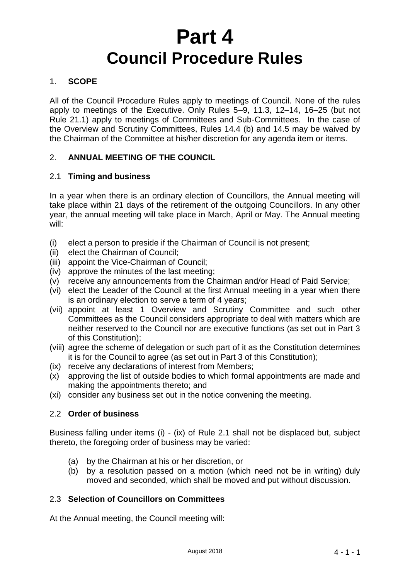# **Part 4 Council Procedure Rules**

# 1. **SCOPE**

All of the Council Procedure Rules apply to meetings of Council. None of the rules apply to meetings of the Executive. Only Rules 5–9, 11.3, 12–14, 16–25 (but not Rule 21.1) apply to meetings of Committees and Sub-Committees. In the case of the Overview and Scrutiny Committees, Rules 14.4 (b) and 14.5 may be waived by the Chairman of the Committee at his/her discretion for any agenda item or items.

# 2. **ANNUAL MEETING OF THE COUNCIL**

## 2.1 **Timing and business**

In a year when there is an ordinary election of Councillors, the Annual meeting will take place within 21 days of the retirement of the outgoing Councillors. In any other year, the annual meeting will take place in March, April or May. The Annual meeting will:

- (i) elect a person to preside if the Chairman of Council is not present;
- (ii) elect the Chairman of Council;
- (iii) appoint the Vice-Chairman of Council;
- (iv) approve the minutes of the last meeting;
- (v) receive any announcements from the Chairman and/or Head of Paid Service;
- (vi) elect the Leader of the Council at the first Annual meeting in a year when there is an ordinary election to serve a term of 4 years;
- (vii) appoint at least 1 Overview and Scrutiny Committee and such other Committees as the Council considers appropriate to deal with matters which are neither reserved to the Council nor are executive functions (as set out in Part 3 of this Constitution);
- (viii) agree the scheme of delegation or such part of it as the Constitution determines it is for the Council to agree (as set out in Part 3 of this Constitution);
- (ix) receive any declarations of interest from Members;
- (x) approving the list of outside bodies to which formal appointments are made and making the appointments thereto; and
- (xi) consider any business set out in the notice convening the meeting.

## 2.2 **Order of business**

Business falling under items (i) - (ix) of Rule 2.1 shall not be displaced but, subject thereto, the foregoing order of business may be varied:

- (a) by the Chairman at his or her discretion, or
- (b) by a resolution passed on a motion (which need not be in writing) duly moved and seconded, which shall be moved and put without discussion.

## 2.3 **Selection of Councillors on Committees**

At the Annual meeting, the Council meeting will: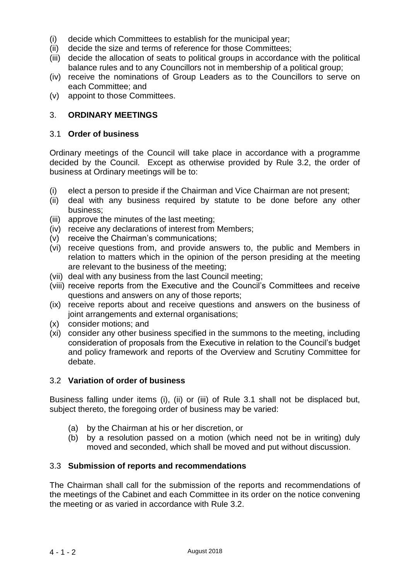- (i) decide which Committees to establish for the municipal year;
- (ii) decide the size and terms of reference for those Committees;
- (iii) decide the allocation of seats to political groups in accordance with the political balance rules and to any Councillors not in membership of a political group;
- (iv) receive the nominations of Group Leaders as to the Councillors to serve on each Committee; and
- (v) appoint to those Committees.

# 3. **ORDINARY MEETINGS**

#### 3.1 **Order of business**

Ordinary meetings of the Council will take place in accordance with a programme decided by the Council. Except as otherwise provided by Rule 3.2, the order of business at Ordinary meetings will be to:

- (i) elect a person to preside if the Chairman and Vice Chairman are not present;
- (ii) deal with any business required by statute to be done before any other business;
- (iii) approve the minutes of the last meeting;
- (iv) receive any declarations of interest from Members;
- (v) receive the Chairman's communications;
- (vi) receive questions from, and provide answers to, the public and Members in relation to matters which in the opinion of the person presiding at the meeting are relevant to the business of the meeting;
- (vii) deal with any business from the last Council meeting;
- (viii) receive reports from the Executive and the Council's Committees and receive questions and answers on any of those reports;
- (ix) receive reports about and receive questions and answers on the business of joint arrangements and external organisations;
- (x) consider motions; and
- (xi) consider any other business specified in the summons to the meeting, including consideration of proposals from the Executive in relation to the Council's budget and policy framework and reports of the Overview and Scrutiny Committee for debate.

#### 3.2 **Variation of order of business**

Business falling under items (i), (ii) or (iii) of Rule 3.1 shall not be displaced but, subject thereto, the foregoing order of business may be varied:

- (a) by the Chairman at his or her discretion, or
- (b) by a resolution passed on a motion (which need not be in writing) duly moved and seconded, which shall be moved and put without discussion.

#### 3.3 **Submission of reports and recommendations**

The Chairman shall call for the submission of the reports and recommendations of the meetings of the Cabinet and each Committee in its order on the notice convening the meeting or as varied in accordance with Rule 3.2.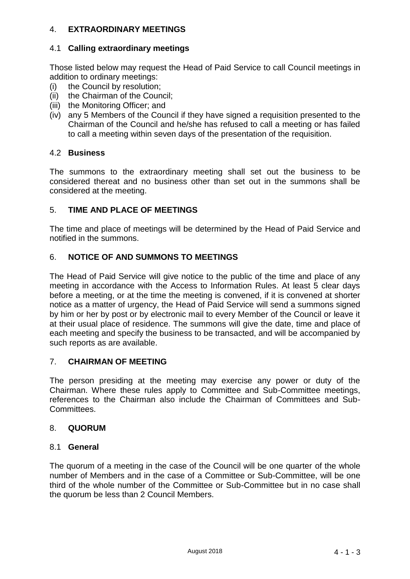# 4. **EXTRAORDINARY MEETINGS**

## 4.1 **Calling extraordinary meetings**

Those listed below may request the Head of Paid Service to call Council meetings in addition to ordinary meetings:

- (i) the Council by resolution;
- (ii) the Chairman of the Council;
- (iii) the Monitoring Officer; and
- (iv) any 5 Members of the Council if they have signed a requisition presented to the Chairman of the Council and he/she has refused to call a meeting or has failed to call a meeting within seven days of the presentation of the requisition.

# 4.2 **Business**

The summons to the extraordinary meeting shall set out the business to be considered thereat and no business other than set out in the summons shall be considered at the meeting.

# 5. **TIME AND PLACE OF MEETINGS**

The time and place of meetings will be determined by the Head of Paid Service and notified in the summons.

# 6. **NOTICE OF AND SUMMONS TO MEETINGS**

The Head of Paid Service will give notice to the public of the time and place of any meeting in accordance with the Access to Information Rules. At least 5 clear days before a meeting, or at the time the meeting is convened, if it is convened at shorter notice as a matter of urgency, the Head of Paid Service will send a summons signed by him or her by post or by electronic mail to every Member of the Council or leave it at their usual place of residence. The summons will give the date, time and place of each meeting and specify the business to be transacted, and will be accompanied by such reports as are available.

## 7. **CHAIRMAN OF MEETING**

The person presiding at the meeting may exercise any power or duty of the Chairman. Where these rules apply to Committee and Sub-Committee meetings, references to the Chairman also include the Chairman of Committees and Sub-Committees.

## 8. **QUORUM**

#### 8.1 **General**

The quorum of a meeting in the case of the Council will be one quarter of the whole number of Members and in the case of a Committee or Sub-Committee, will be one third of the whole number of the Committee or Sub-Committee but in no case shall the quorum be less than 2 Council Members.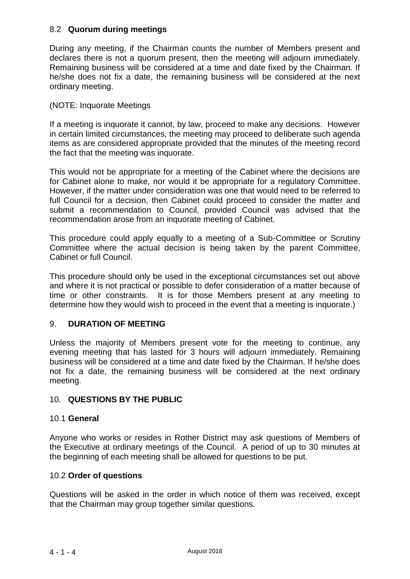## 8.2 **Quorum during meetings**

During any meeting, if the Chairman counts the number of Members present and declares there is not a quorum present, then the meeting will adjourn immediately. Remaining business will be considered at a time and date fixed by the Chairman. If he/she does not fix a date, the remaining business will be considered at the next ordinary meeting.

# (NOTE: Inquorate Meetings

If a meeting is inquorate it cannot, by law, proceed to make any decisions. However in certain limited circumstances, the meeting may proceed to deliberate such agenda items as are considered appropriate provided that the minutes of the meeting record the fact that the meeting was inquorate.

This would not be appropriate for a meeting of the Cabinet where the decisions are for Cabinet alone to make, nor would it be appropriate for a regulatory Committee. However, if the matter under consideration was one that would need to be referred to full Council for a decision, then Cabinet could proceed to consider the matter and submit a recommendation to Council, provided Council was advised that the recommendation arose from an inquorate meeting of Cabinet.

This procedure could apply equally to a meeting of a Sub-Committee or Scrutiny Committee where the actual decision is being taken by the parent Committee, Cabinet or full Council.

This procedure should only be used in the exceptional circumstances set out above and where it is not practical or possible to defer consideration of a matter because of time or other constraints. It is for those Members present at any meeting to determine how they would wish to proceed in the event that a meeting is inquorate.)

## 9. **DURATION OF MEETING**

Unless the majority of Members present vote for the meeting to continue, any evening meeting that has lasted for 3 hours will adjourn immediately. Remaining business will be considered at a time and date fixed by the Chairman. If he/she does not fix a date, the remaining business will be considered at the next ordinary meeting.

## 10. **QUESTIONS BY THE PUBLIC**

## 10.1 **General**

Anyone who works or resides in Rother District may ask questions of Members of the Executive at ordinary meetings of the Council. A period of up to 30 minutes at the beginning of each meeting shall be allowed for questions to be put.

## 10.2 **Order of questions**

Questions will be asked in the order in which notice of them was received, except that the Chairman may group together similar questions*.*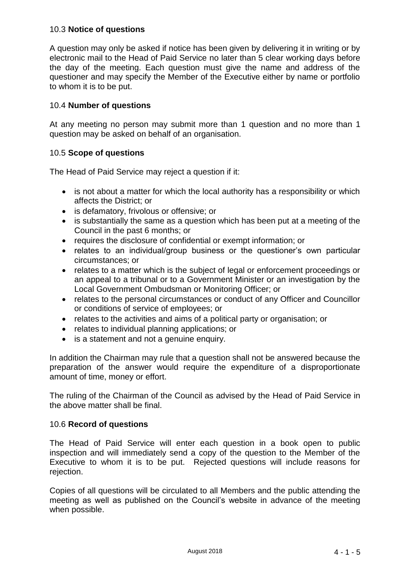## 10.3 **Notice of questions**

A question may only be asked if notice has been given by delivering it in writing or by electronic mail to the Head of Paid Service no later than 5 clear working days before the day of the meeting. Each question must give the name and address of the questioner and may specify the Member of the Executive either by name or portfolio to whom it is to be put.

#### 10.4 **Number of questions**

At any meeting no person may submit more than 1 question and no more than 1 question may be asked on behalf of an organisation.

#### 10.5 **Scope of questions**

The Head of Paid Service may reject a question if it:

- is not about a matter for which the local authority has a responsibility or which affects the District; or
- is defamatory, frivolous or offensive; or
- is substantially the same as a question which has been put at a meeting of the Council in the past 6 months; or
- requires the disclosure of confidential or exempt information; or
- relates to an individual/group business or the questioner's own particular circumstances; or
- relates to a matter which is the subject of legal or enforcement proceedings or an appeal to a tribunal or to a Government Minister or an investigation by the Local Government Ombudsman or Monitoring Officer; or
- relates to the personal circumstances or conduct of any Officer and Councillor or conditions of service of employees; or
- relates to the activities and aims of a political party or organisation; or
- relates to individual planning applications; or
- is a statement and not a genuine enquiry.

In addition the Chairman may rule that a question shall not be answered because the preparation of the answer would require the expenditure of a disproportionate amount of time, money or effort.

The ruling of the Chairman of the Council as advised by the Head of Paid Service in the above matter shall be final.

#### 10.6 **Record of questions**

The Head of Paid Service will enter each question in a book open to public inspection and will immediately send a copy of the question to the Member of the Executive to whom it is to be put. Rejected questions will include reasons for rejection.

Copies of all questions will be circulated to all Members and the public attending the meeting as well as published on the Council's website in advance of the meeting when possible.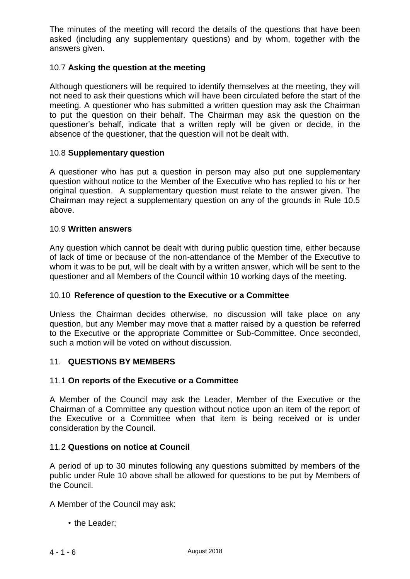The minutes of the meeting will record the details of the questions that have been asked (including any supplementary questions) and by whom, together with the answers given.

## 10.7 **Asking the question at the meeting**

Although questioners will be required to identify themselves at the meeting, they will not need to ask their questions which will have been circulated before the start of the meeting. A questioner who has submitted a written question may ask the Chairman to put the question on their behalf. The Chairman may ask the question on the questioner's behalf, indicate that a written reply will be given or decide, in the absence of the questioner, that the question will not be dealt with.

#### 10.8 **Supplementary question**

A questioner who has put a question in person may also put one supplementary question without notice to the Member of the Executive who has replied to his or her original question. A supplementary question must relate to the answer given. The Chairman may reject a supplementary question on any of the grounds in Rule 10.5 above.

#### 10.9 **Written answers**

Any question which cannot be dealt with during public question time, either because of lack of time or because of the non-attendance of the Member of the Executive to whom it was to be put, will be dealt with by a written answer, which will be sent to the questioner and all Members of the Council within 10 working days of the meeting.

#### 10.10 **Reference of question to the Executive or a Committee**

Unless the Chairman decides otherwise, no discussion will take place on any question, but any Member may move that a matter raised by a question be referred to the Executive or the appropriate Committee or Sub-Committee. Once seconded, such a motion will be voted on without discussion.

#### 11. **QUESTIONS BY MEMBERS**

#### 11.1 **On reports of the Executive or a Committee**

A Member of the Council may ask the Leader, Member of the Executive or the Chairman of a Committee any question without notice upon an item of the report of the Executive or a Committee when that item is being received or is under consideration by the Council.

#### 11.2 **Questions on notice at Council**

A period of up to 30 minutes following any questions submitted by members of the public under Rule 10 above shall be allowed for questions to be put by Members of the Council.

A Member of the Council may ask:

• the Leader;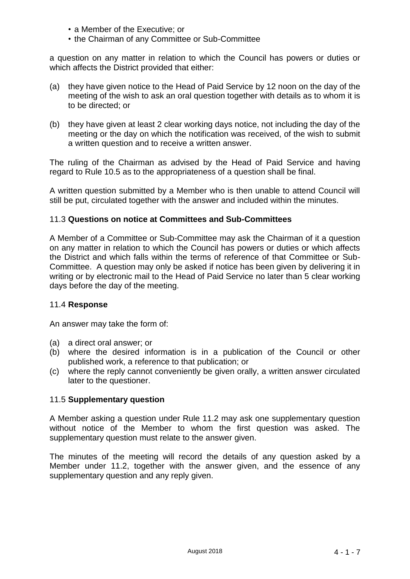- a Member of the Executive; or
- the Chairman of any Committee or Sub-Committee

a question on any matter in relation to which the Council has powers or duties or which affects the District provided that either:

- (a) they have given notice to the Head of Paid Service by 12 noon on the day of the meeting of the wish to ask an oral question together with details as to whom it is to be directed; or
- (b) they have given at least 2 clear working days notice, not including the day of the meeting or the day on which the notification was received, of the wish to submit a written question and to receive a written answer.

The ruling of the Chairman as advised by the Head of Paid Service and having regard to Rule 10.5 as to the appropriateness of a question shall be final.

A written question submitted by a Member who is then unable to attend Council will still be put, circulated together with the answer and included within the minutes.

#### 11.3 **Questions on notice at Committees and Sub-Committees**

A Member of a Committee or Sub-Committee may ask the Chairman of it a question on any matter in relation to which the Council has powers or duties or which affects the District and which falls within the terms of reference of that Committee or Sub-Committee. A question may only be asked if notice has been given by delivering it in writing or by electronic mail to the Head of Paid Service no later than 5 clear working days before the day of the meeting.

#### 11.4 **Response**

An answer may take the form of:

- (a) a direct oral answer; or
- (b) where the desired information is in a publication of the Council or other published work, a reference to that publication; or
- (c) where the reply cannot conveniently be given orally, a written answer circulated later to the questioner.

#### 11.5 **Supplementary question**

A Member asking a question under Rule 11.2 may ask one supplementary question without notice of the Member to whom the first question was asked. The supplementary question must relate to the answer given.

The minutes of the meeting will record the details of any question asked by a Member under 11.2, together with the answer given, and the essence of any supplementary question and any reply given.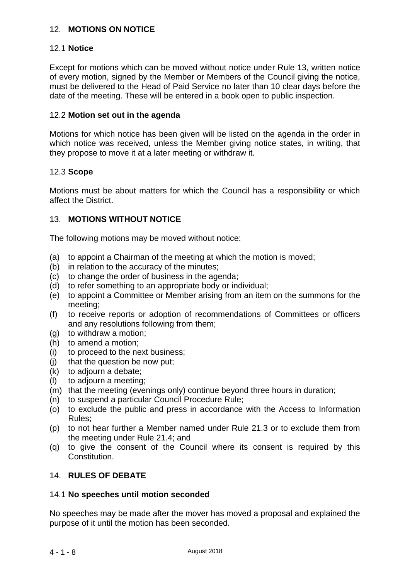# 12. **MOTIONS ON NOTICE**

# 12.1 **Notice**

Except for motions which can be moved without notice under Rule 13, written notice of every motion, signed by the Member or Members of the Council giving the notice, must be delivered to the Head of Paid Service no later than 10 clear days before the date of the meeting. These will be entered in a book open to public inspection.

#### 12.2 **Motion set out in the agenda**

Motions for which notice has been given will be listed on the agenda in the order in which notice was received, unless the Member giving notice states, in writing, that they propose to move it at a later meeting or withdraw it.

#### 12.3 **Scope**

Motions must be about matters for which the Council has a responsibility or which affect the District.

## 13. **MOTIONS WITHOUT NOTICE**

The following motions may be moved without notice:

- (a) to appoint a Chairman of the meeting at which the motion is moved;
- (b) in relation to the accuracy of the minutes;
- (c) to change the order of business in the agenda;
- (d) to refer something to an appropriate body or individual;
- (e) to appoint a Committee or Member arising from an item on the summons for the meeting;
- (f) to receive reports or adoption of recommendations of Committees or officers and any resolutions following from them;
- (g) to withdraw a motion;
- (h) to amend a motion;
- (i) to proceed to the next business;
- (j) that the question be now put;
- $(k)$  to adjourn a debate;
- (l) to adjourn a meeting;
- (m) that the meeting (evenings only) continue beyond three hours in duration;
- (n) to suspend a particular Council Procedure Rule;
- (o) to exclude the public and press in accordance with the Access to Information Rules;
- (p) to not hear further a Member named under Rule 21.3 or to exclude them from the meeting under Rule 21.4; and
- (q) to give the consent of the Council where its consent is required by this Constitution.

## 14. **RULES OF DEBATE**

#### 14.1 **No speeches until motion seconded**

No speeches may be made after the mover has moved a proposal and explained the purpose of it until the motion has been seconded.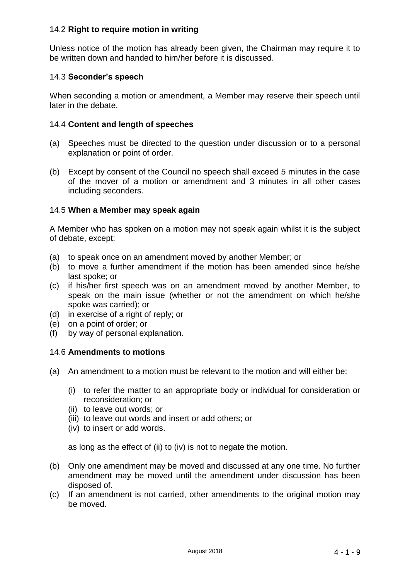# 14.2 **Right to require motion in writing**

Unless notice of the motion has already been given, the Chairman may require it to be written down and handed to him/her before it is discussed.

# 14.3 **Seconder's speech**

When seconding a motion or amendment, a Member may reserve their speech until later in the debate.

#### 14.4 **Content and length of speeches**

- (a) Speeches must be directed to the question under discussion or to a personal explanation or point of order.
- (b) Except by consent of the Council no speech shall exceed 5 minutes in the case of the mover of a motion or amendment and 3 minutes in all other cases including seconders.

## 14.5 **When a Member may speak again**

A Member who has spoken on a motion may not speak again whilst it is the subject of debate, except:

- (a) to speak once on an amendment moved by another Member; or
- (b) to move a further amendment if the motion has been amended since he/she last spoke; or
- (c) if his/her first speech was on an amendment moved by another Member, to speak on the main issue (whether or not the amendment on which he/she spoke was carried); or
- (d) in exercise of a right of reply; or
- (e) on a point of order; or
- (f) by way of personal explanation.

## 14.6 **Amendments to motions**

- (a) An amendment to a motion must be relevant to the motion and will either be:
	- (i) to refer the matter to an appropriate body or individual for consideration or reconsideration; or
	- (ii) to leave out words; or
	- (iii) to leave out words and insert or add others; or
	- (iv) to insert or add words.

as long as the effect of (ii) to (iv) is not to negate the motion.

- (b) Only one amendment may be moved and discussed at any one time. No further amendment may be moved until the amendment under discussion has been disposed of.
- (c) If an amendment is not carried, other amendments to the original motion may be moved.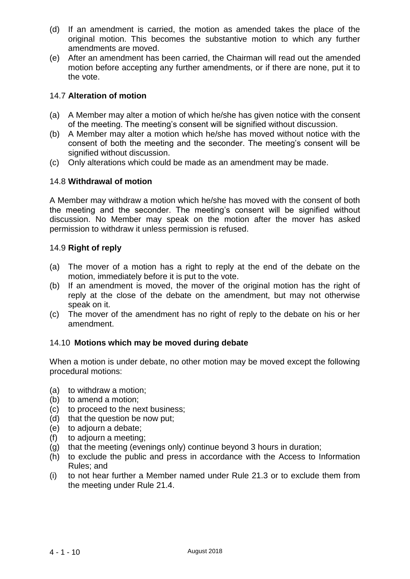- (d) If an amendment is carried, the motion as amended takes the place of the original motion. This becomes the substantive motion to which any further amendments are moved.
- (e) After an amendment has been carried, the Chairman will read out the amended motion before accepting any further amendments, or if there are none, put it to the vote.

## 14.7 **Alteration of motion**

- (a) A Member may alter a motion of which he/she has given notice with the consent of the meeting. The meeting's consent will be signified without discussion.
- (b) A Member may alter a motion which he/she has moved without notice with the consent of both the meeting and the seconder. The meeting's consent will be signified without discussion.
- (c) Only alterations which could be made as an amendment may be made.

## 14.8 **Withdrawal of motion**

A Member may withdraw a motion which he/she has moved with the consent of both the meeting and the seconder. The meeting's consent will be signified without discussion. No Member may speak on the motion after the mover has asked permission to withdraw it unless permission is refused.

## 14.9 **Right of reply**

- (a) The mover of a motion has a right to reply at the end of the debate on the motion, immediately before it is put to the vote.
- (b) If an amendment is moved, the mover of the original motion has the right of reply at the close of the debate on the amendment, but may not otherwise speak on it.
- (c) The mover of the amendment has no right of reply to the debate on his or her amendment.

## 14.10 **Motions which may be moved during debate**

When a motion is under debate, no other motion may be moved except the following procedural motions:

- (a) to withdraw a motion;
- (b) to amend a motion;
- (c) to proceed to the next business;
- (d) that the question be now put;
- (e) to adjourn a debate;
- (f) to adjourn a meeting;
- (g) that the meeting (evenings only) continue beyond 3 hours in duration;
- (h) to exclude the public and press in accordance with the Access to Information Rules; and
- (i) to not hear further a Member named under Rule 21.3 or to exclude them from the meeting under Rule 21.4.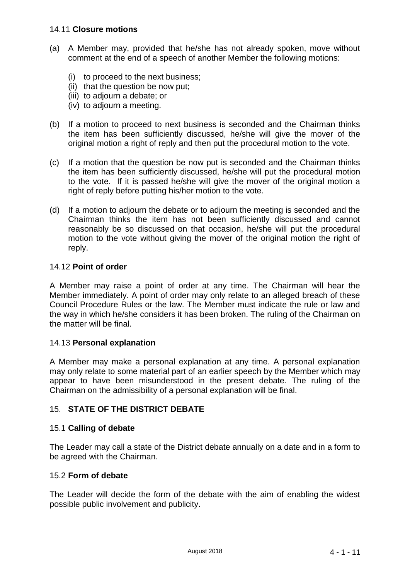#### 14.11 **Closure motions**

- (a) A Member may, provided that he/she has not already spoken, move without comment at the end of a speech of another Member the following motions:
	- (i) to proceed to the next business;
	- (ii) that the question be now put;
	- (iii) to adjourn a debate; or
	- (iv) to adjourn a meeting.
- (b) If a motion to proceed to next business is seconded and the Chairman thinks the item has been sufficiently discussed, he/she will give the mover of the original motion a right of reply and then put the procedural motion to the vote.
- (c) If a motion that the question be now put is seconded and the Chairman thinks the item has been sufficiently discussed, he/she will put the procedural motion to the vote. If it is passed he/she will give the mover of the original motion a right of reply before putting his/her motion to the vote.
- (d) If a motion to adjourn the debate or to adjourn the meeting is seconded and the Chairman thinks the item has not been sufficiently discussed and cannot reasonably be so discussed on that occasion, he/she will put the procedural motion to the vote without giving the mover of the original motion the right of reply.

#### 14.12 **Point of order**

A Member may raise a point of order at any time. The Chairman will hear the Member immediately. A point of order may only relate to an alleged breach of these Council Procedure Rules or the law. The Member must indicate the rule or law and the way in which he/she considers it has been broken. The ruling of the Chairman on the matter will be final.

#### 14.13 **Personal explanation**

A Member may make a personal explanation at any time. A personal explanation may only relate to some material part of an earlier speech by the Member which may appear to have been misunderstood in the present debate. The ruling of the Chairman on the admissibility of a personal explanation will be final.

## 15. **STATE OF THE DISTRICT DEBATE**

#### 15.1 **Calling of debate**

The Leader may call a state of the District debate annually on a date and in a form to be agreed with the Chairman.

#### 15.2 **Form of debate**

The Leader will decide the form of the debate with the aim of enabling the widest possible public involvement and publicity.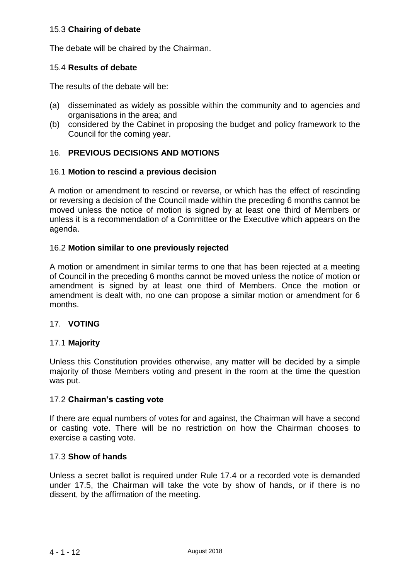## 15.3 **Chairing of debate**

The debate will be chaired by the Chairman.

#### 15.4 **Results of debate**

The results of the debate will be:

- (a) disseminated as widely as possible within the community and to agencies and organisations in the area; and
- (b) considered by the Cabinet in proposing the budget and policy framework to the Council for the coming year.

## 16. **PREVIOUS DECISIONS AND MOTIONS**

#### 16.1 **Motion to rescind a previous decision**

A motion or amendment to rescind or reverse, or which has the effect of rescinding or reversing a decision of the Council made within the preceding 6 months cannot be moved unless the notice of motion is signed by at least one third of Members or unless it is a recommendation of a Committee or the Executive which appears on the agenda.

## 16.2 **Motion similar to one previously rejected**

A motion or amendment in similar terms to one that has been rejected at a meeting of Council in the preceding 6 months cannot be moved unless the notice of motion or amendment is signed by at least one third of Members. Once the motion or amendment is dealt with, no one can propose a similar motion or amendment for 6 months.

#### 17. **VOTING**

#### 17.1 **Majority**

Unless this Constitution provides otherwise, any matter will be decided by a simple majority of those Members voting and present in the room at the time the question was put.

#### 17.2 **Chairman's casting vote**

If there are equal numbers of votes for and against, the Chairman will have a second or casting vote. There will be no restriction on how the Chairman chooses to exercise a casting vote.

## 17.3 **Show of hands**

Unless a secret ballot is required under Rule 17.4 or a recorded vote is demanded under 17.5, the Chairman will take the vote by show of hands, or if there is no dissent, by the affirmation of the meeting.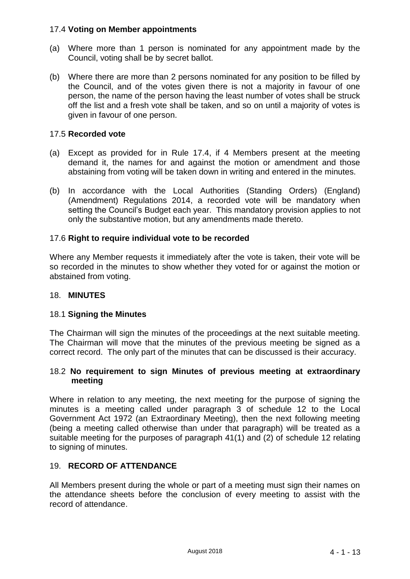## 17.4 **Voting on Member appointments**

- (a) Where more than 1 person is nominated for any appointment made by the Council, voting shall be by secret ballot.
- (b) Where there are more than 2 persons nominated for any position to be filled by the Council, and of the votes given there is not a majority in favour of one person, the name of the person having the least number of votes shall be struck off the list and a fresh vote shall be taken, and so on until a majority of votes is given in favour of one person.

# 17.5 **Recorded vote**

- (a) Except as provided for in Rule 17.4, if 4 Members present at the meeting demand it, the names for and against the motion or amendment and those abstaining from voting will be taken down in writing and entered in the minutes.
- (b) In accordance with the Local Authorities (Standing Orders) (England) (Amendment) Regulations 2014, a recorded vote will be mandatory when setting the Council's Budget each year. This mandatory provision applies to not only the substantive motion, but any amendments made thereto.

# 17.6 **Right to require individual vote to be recorded**

Where any Member requests it immediately after the vote is taken, their vote will be so recorded in the minutes to show whether they voted for or against the motion or abstained from voting.

## 18. **MINUTES**

## 18.1 **Signing the Minutes**

The Chairman will sign the minutes of the proceedings at the next suitable meeting. The Chairman will move that the minutes of the previous meeting be signed as a correct record. The only part of the minutes that can be discussed is their accuracy.

#### 18.2 **No requirement to sign Minutes of previous meeting at extraordinary meeting**

Where in relation to any meeting, the next meeting for the purpose of signing the minutes is a meeting called under paragraph 3 of schedule 12 to the Local Government Act 1972 (an Extraordinary Meeting), then the next following meeting (being a meeting called otherwise than under that paragraph) will be treated as a suitable meeting for the purposes of paragraph 41(1) and (2) of schedule 12 relating to signing of minutes.

# 19. **RECORD OF ATTENDANCE**

All Members present during the whole or part of a meeting must sign their names on the attendance sheets before the conclusion of every meeting to assist with the record of attendance.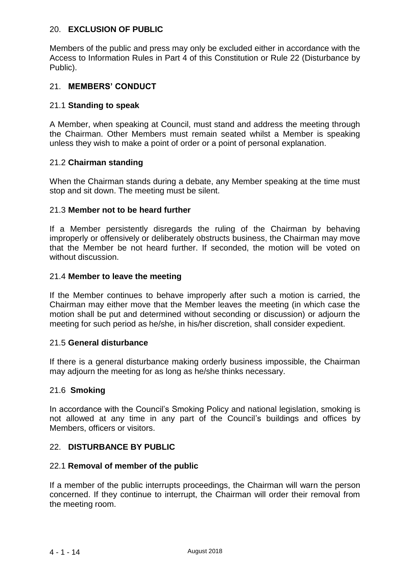## 20. **EXCLUSION OF PUBLIC**

Members of the public and press may only be excluded either in accordance with the Access to Information Rules in Part 4 of this Constitution or Rule 22 (Disturbance by Public).

## 21. **MEMBERS' CONDUCT**

#### 21.1 **Standing to speak**

A Member, when speaking at Council, must stand and address the meeting through the Chairman. Other Members must remain seated whilst a Member is speaking unless they wish to make a point of order or a point of personal explanation.

#### 21.2 **Chairman standing**

When the Chairman stands during a debate, any Member speaking at the time must stop and sit down. The meeting must be silent.

#### 21.3 **Member not to be heard further**

If a Member persistently disregards the ruling of the Chairman by behaving improperly or offensively or deliberately obstructs business, the Chairman may move that the Member be not heard further. If seconded, the motion will be voted on without discussion.

#### 21.4 **Member to leave the meeting**

If the Member continues to behave improperly after such a motion is carried, the Chairman may either move that the Member leaves the meeting (in which case the motion shall be put and determined without seconding or discussion) or adjourn the meeting for such period as he/she, in his/her discretion, shall consider expedient.

#### 21.5 **General disturbance**

If there is a general disturbance making orderly business impossible, the Chairman may adjourn the meeting for as long as he/she thinks necessary.

#### 21.6 **Smoking**

In accordance with the Council's Smoking Policy and national legislation, smoking is not allowed at any time in any part of the Council's buildings and offices by Members, officers or visitors.

#### 22. **DISTURBANCE BY PUBLIC**

#### 22.1 **Removal of member of the public**

If a member of the public interrupts proceedings, the Chairman will warn the person concerned. If they continue to interrupt, the Chairman will order their removal from the meeting room.